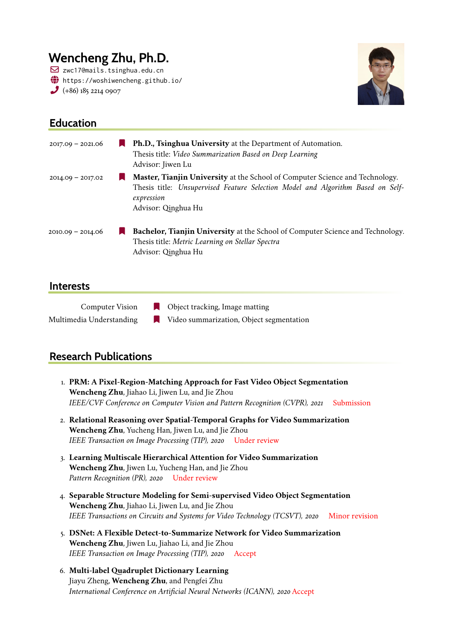# **Wencheng Zhu, Ph.D.**

 $\boxdot$  zwc17@mails.tsinghua.edu.cn  $\bigoplus$  <https://woshiwencheng.github.io/>  $(+86)$  185 2214 0907



## 2017.09 – 2021.06 [ **Ph.D., Tsinghua University** at the Department of Automation. Thesis title: *Video Summarization Based on Deep Learning* Advisor: [Jiwen Lu](http://ivg.au.tsinghua.edu.cn/Jiwen_Lu/) 2014.09 – 2017.02 [ **Master, Tianjin University** at the School of Computer Science and Technology. Thesis title: *Unsupervised Feature Selection Model and Algorithm Based on Selfexpression* Advisor: [Qinghua Hu](https://scholar.google.com/citations?user=TVSNq_wAAAAJ&hl=zh-CN/) 2010.09 – 2014.06 [ **Bachelor, Tianjin University** at the School of Computer Science and Technology. Thesis title: *Metric Learning on Stellar Spectra* Advisor: [Qinghua Hu](https://scholar.google.com/citations?user=TVSNq_wAAAAJ&hl=zh-CN/)

### **Interests**

**Education**

| <b>Computer Vision</b>   | $\Box$ Object tracking, Image matting    |
|--------------------------|------------------------------------------|
| Multimedia Understanding | Video summarization, Object segmentation |

### **Research Publications**

- 1. **PRM: A Pixel-Region-Matching Approach for Fast Video Object Segmentation Wencheng Zhu**, Jiahao Li, Jiwen Lu, and Jie Zhou *IEEE/CVF Conference on Computer Vision and Pattern Recognition (CVPR), 2021* Submission
- 2. **Relational Reasoning over Spatial-Temporal Graphs for Video Summarization Wencheng Zhu**, Yucheng Han, Jiwen Lu, and Jie Zhou *IEEE Transaction on Image Processing (TIP), 2020* Under review
- 3. **Learning Multiscale Hierarchical Attention for Video Summarization Wencheng Zhu**, Jiwen Lu, Yucheng Han, and Jie Zhou *Pattern Recognition (PR), 2020* Under review
- 4. **Separable Structure Modeling for Semi-supervised Video Object Segmentation Wencheng Zhu**, Jiahao Li, Jiwen Lu, and Jie Zhou *IEEE Transactions on Circuits and Systems for Video Technology (TCSVT), 2020* Minor revision
- 5. **DSNet: A Flexible Detect-to-Summarize Network for Video Summarization Wencheng Zhu**, Jiwen Lu, Jiahao Li, and Jie Zhou *IEEE Transaction on Image Processing (TIP), 2020* Accept
- 6. **Multi-label Quadruplet Dictionary Learning** Jiayu Zheng, **Wencheng Zhu**, and Pengfei Zhu *International Conference on Artificial Neural Networks (ICANN), 2020* Accept